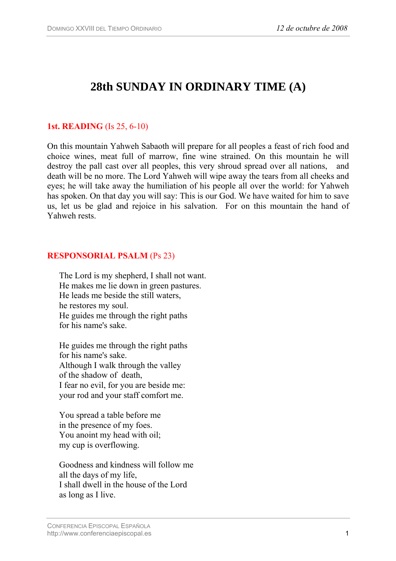# **28th SUNDAY IN ORDINARY TIME (A)**

## **1st. READING** (Is 25, 6-10)

On this mountain Yahweh Sabaoth will prepare for all peoples a feast of rich food and choice wines, meat full of marrow, fine wine strained. On this mountain he will destroy the pall cast over all peoples, this very shroud spread over all nations, and death will be no more. The Lord Yahweh will wipe away the tears from all cheeks and eyes; he will take away the humiliation of his people all over the world: for Yahweh has spoken. On that day you will say: This is our God. We have waited for him to save us, let us be glad and rejoice in his salvation. For on this mountain the hand of Yahweh rests.

#### **RESPONSORIAL PSALM** (Ps 23)

The Lord is my shepherd, I shall not want. He makes me lie down in green pastures. He leads me beside the still waters, he restores my soul. He guides me through the right paths for his name's sake.

He guides me through the right paths for his name's sake. Although I walk through the valley of the shadow of death, I fear no evil, for you are beside me: your rod and your staff comfort me.

You spread a table before me in the presence of my foes. You anoint my head with oil; my cup is overflowing.

Goodness and kindness will follow me all the days of my life, I shall dwell in the house of the Lord as long as I live.